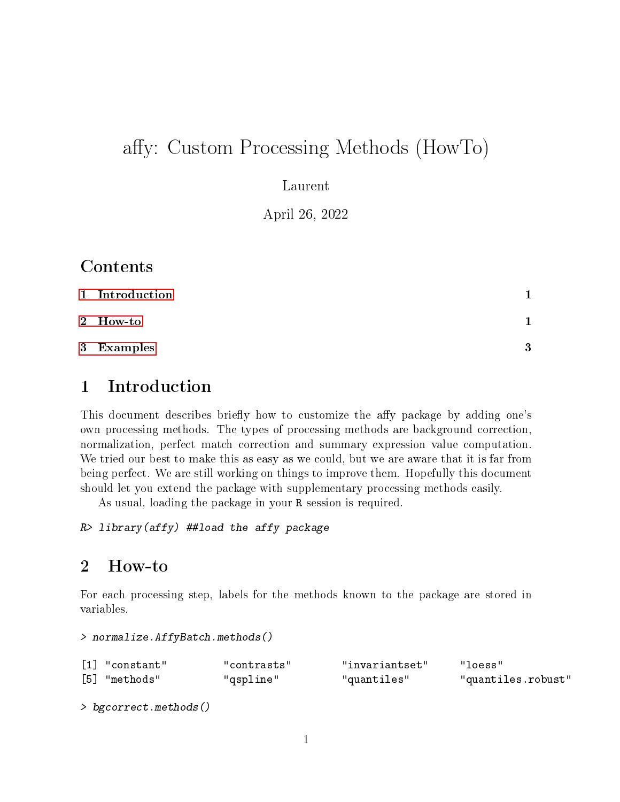# affy: Custom Processing Methods (HowTo)

Laurent

April 26, 2022

### Contents

| 1 Introduction |   |
|----------------|---|
| 2 How-to       |   |
| 3 Examples     | 3 |

## <span id="page-0-0"></span>1 Introduction

This document describes briefly how to customize the affy package by adding one's own processing methods. The types of processing methods are background correction, normalization, perfect match correction and summary expression value computation. We tried our best to make this as easy as we could, but we are aware that it is far from being perfect. We are still working on things to improve them. Hopefully this document should let you extend the package with supplementary processing methods easily.

As usual, loading the package in your R session is required.

```
R> library(affy) ##load the affy package
```
#### <span id="page-0-1"></span>2 How-to

For each processing step, labels for the methods known to the package are stored in variables.

> normalize.AffyBatch.methods()

| $\lceil 1 \rceil$ "constant" | "contrasts" | "invariantset" | "loess"            |
|------------------------------|-------------|----------------|--------------------|
| [5] "methods"                | "qspline"   | "quantiles"    | "quantiles.robust" |

> bgcorrect.methods()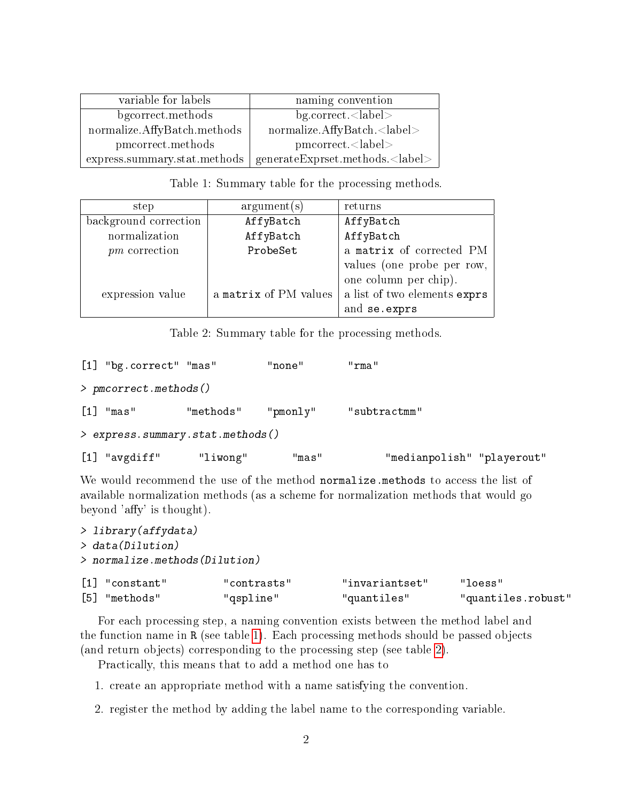| variable for labels             | naming convention                               |
|---------------------------------|-------------------------------------------------|
| bgcorrect.methods               | bg.correct. <label></label>                     |
| normalize.AffyBatch.methods     | normalize.AffyBatch. <label></label>            |
| pmcorrect.methods               | pmorect <sub>label</sub>                        |
| express. summary. stat. methods | $\mid$ generateExprset.methods. <label></label> |

<span id="page-1-0"></span>Table 1: Summary table for the processing methods.

| step                  | argument(s)           | returns                               |  |
|-----------------------|-----------------------|---------------------------------------|--|
| background correction | AffyBatch             | AffyBatch                             |  |
| normalization         | AffyBatch             | AffyBatch<br>a matrix of corrected PM |  |
| $pm$ correction       | ProbeSet              |                                       |  |
|                       |                       | values (one probe per row,            |  |
|                       |                       | one column per chip).                 |  |
| expression value      | a matrix of PM values | a list of two elements exprs          |  |
|                       |                       | and se.exprs                          |  |

<span id="page-1-1"></span>Table 2: Summary table for the processing methods.

```
[1] "bg.correct" "mas" "none" "rma"
> pmcorrect.methods()
[1] "mas" "methods" "pmonly" "subtractmm"
> express.summary.stat.methods()
[1] "avgdiff" "liwong" "mas" "medianpolish" "playerout"
```
We would recommend the use of the method normalize.methods to access the list of available normalization methods (as a scheme for normalization methods that would go beyond 'affy' is thought).

| > library (affydata)             |             |                |                    |
|----------------------------------|-------------|----------------|--------------------|
| > data (Dilution)                |             |                |                    |
| $>$ normalize.methods (Dilution) |             |                |                    |
| $[1]$ "constant"                 | "contrasts" | "invariantset" | "loess"            |
| "methods"<br>[5]                 | "gspline"   | "quantiles"    | "quantiles.robust" |

For each processing step, a naming convention exists between the method label and the function name in R (see table [1\)](#page-1-0). Each processing methods should be passed objects (and return objects) corresponding to the processing step (see table [2\)](#page-1-1).

Practically, this means that to add a method one has to

- 1. create an appropriate method with a name satisfying the convention.
- 2. register the method by adding the label name to the corresponding variable.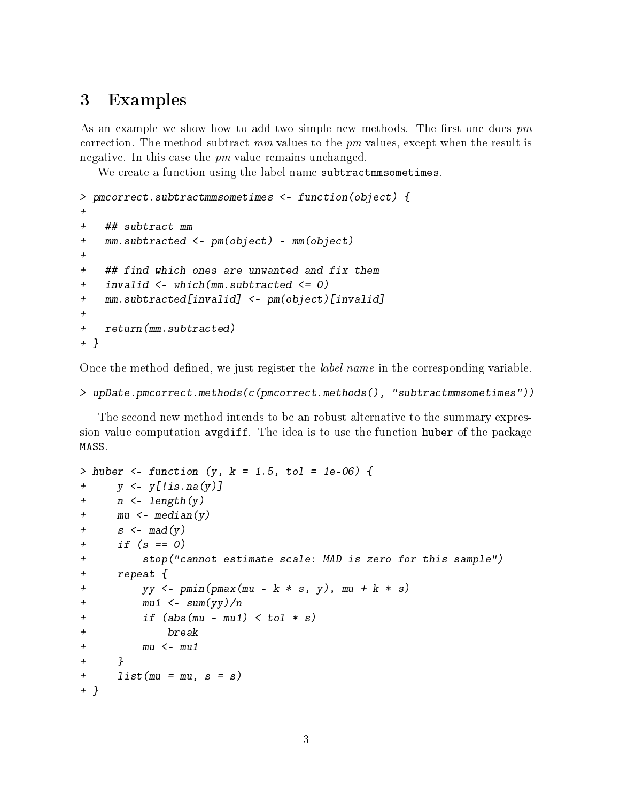#### <span id="page-2-0"></span>3 Examples

As an example we show how to add two simple new methods. The first one does  $pm$ correction. The method subtract  $mm$  values to the  $pm$  values, except when the result is negative. In this case the  $pm$  value remains unchanged.

We create a function using the label name subtractmmsometimes.

```
> pmcorrect.subtractmmsometimes <- function(object) {
+
+ ## subtract mm
+ mm.subtracted <- pm(object) - mm(object)
+
+ ## find which ones are unwanted and fix them
+ invalid <- which(mm.subtracted <= 0)
+ mm.subtracted[invalid] <- pm(object)[invalid]
+
+ return(mm.subtracted)
+ }
```
Once the method defined, we just register the *label name* in the corresponding variable.

```
> upDate.pmcorrect.methods(c(pmcorrect.methods(), "subtractmmsometimes"))
```
The second new method intends to be an robust alternative to the summary expression value computation avgdiff. The idea is to use the function huber of the package MASS.

```
> huber <- function (y, k = 1.5, tol = 1e-06) {
+ y \le y [! is . na (y)]
+ n \leq -\text{length}(y)+ mu \le- median(y)
+ s <- mad(y)
+ if (s == 0)+ stop("cannot estimate scale: MAD is zero for this sample")
+ repeat {
+ yy <- pmin(pmax(mu - k * s, y), mu + k * s)
+ mu1 \leq -sum(yy)/n+ if (abs(mu - mu1) < tol * s)+ break
+ mu \langle - mu1
+ }
+ list (mu = mu, s = s)
+ }
```